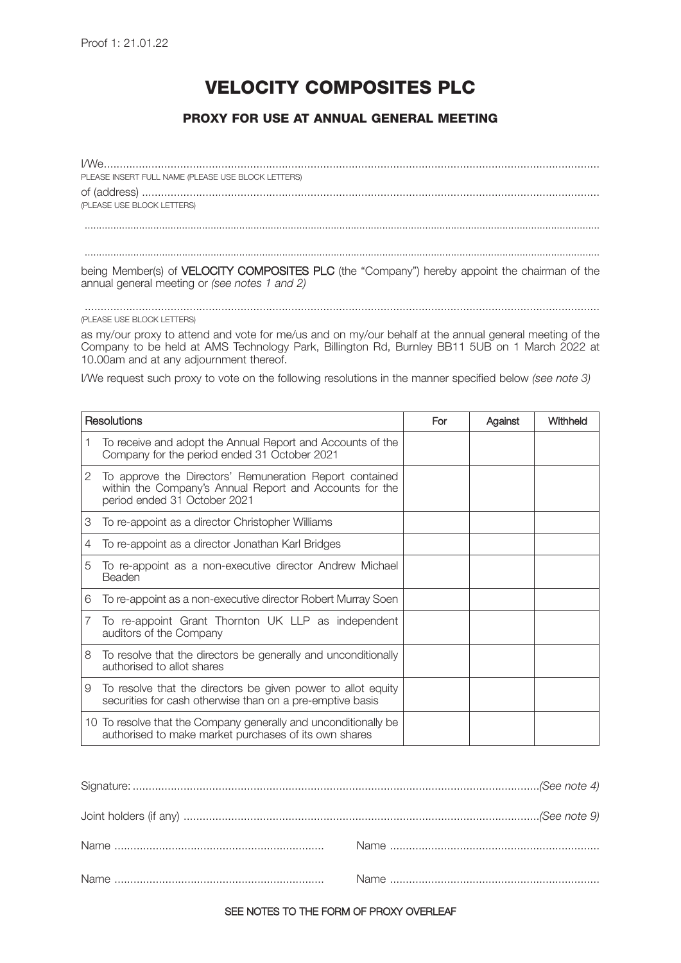# **VELOCITY COMPOSITES PLC**

# **PROXY FOR USE AT ANNUAL GENERAL MEETING**

| PLEASE INSERT FULL NAME (PLEASE USE BLOCK LETTERS) |
|----------------------------------------------------|
|                                                    |
| (PLEASE USE BLOCK LETTERS)                         |
|                                                    |
|                                                    |
|                                                    |

being Member(s) of VELOCITY COMPOSITES PLC (the "Company") hereby appoint the chairman of the annual general meeting or *(see notes 1 and 2)*

#### .................................................................................................................................................................. (PLEASE USE BLOCK LETTERS)

as my/our proxy to attend and vote for me/us and on my/our behalf at the annual general meeting of the Company to be held at AMS Technology Park, Billington Rd, Burnley BB11 5UB on 1 March 2022 at 10.00am and at any adjournment thereof.

I/We request such proxy to vote on the following resolutions in the manner specified below *(see note 3)*

| Resolutions |                                                                                                                                                    | For | Against | Withheld |
|-------------|----------------------------------------------------------------------------------------------------------------------------------------------------|-----|---------|----------|
|             | To receive and adopt the Annual Report and Accounts of the<br>Company for the period ended 31 October 2021                                         |     |         |          |
| 2           | To approve the Directors' Remuneration Report contained<br>within the Company's Annual Report and Accounts for the<br>period ended 31 October 2021 |     |         |          |
| 3           | To re-appoint as a director Christopher Williams                                                                                                   |     |         |          |
| 4           | To re-appoint as a director Jonathan Karl Bridges                                                                                                  |     |         |          |
| 5           | To re-appoint as a non-executive director Andrew Michael<br>Beaden                                                                                 |     |         |          |
| 6           | To re-appoint as a non-executive director Robert Murray Soen                                                                                       |     |         |          |
| 7           | To re-appoint Grant Thornton UK LLP as independent<br>auditors of the Company                                                                      |     |         |          |
| 8           | To resolve that the directors be generally and unconditionally<br>authorised to allot shares                                                       |     |         |          |
| 9           | To resolve that the directors be given power to allot equity<br>securities for cash otherwise than on a pre-emptive basis                          |     |         |          |
|             | 10 To resolve that the Company generally and unconditionally be<br>authorised to make market purchases of its own shares                           |     |         |          |

## SEE NOTES TO THE FORM OF PROXY OVERLEAF